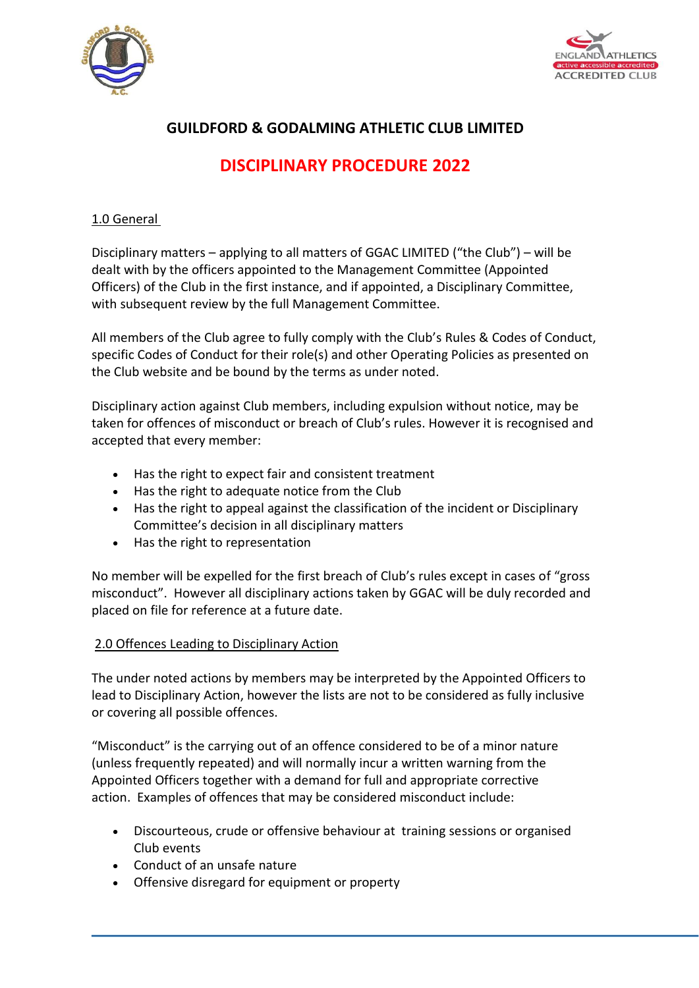



# **GUILDFORD & GODALMING ATHLETIC CLUB LIMITED**

# **DISCIPLINARY PROCEDURE 2022**

#### 1.0 General

Disciplinary matters – applying to all matters of GGAC LIMITED ("the Club") – will be dealt with by the officers appointed to the Management Committee (Appointed Officers) of the Club in the first instance, and if appointed, a Disciplinary Committee, with subsequent review by the full Management Committee.

All members of the Club agree to fully comply with the Club's Rules & Codes of Conduct, specific Codes of Conduct for their role(s) and other Operating Policies as presented on the Club website and be bound by the terms as under noted.

Disciplinary action against Club members, including expulsion without notice, may be taken for offences of misconduct or breach of Club's rules. However it is recognised and accepted that every member:

- Has the right to expect fair and consistent treatment
- Has the right to adequate notice from the Club
- Has the right to appeal against the classification of the incident or Disciplinary Committee's decision in all disciplinary matters
- Has the right to representation

No member will be expelled for the first breach of Club's rules except in cases of "gross misconduct". However all disciplinary actions taken by GGAC will be duly recorded and placed on file for reference at a future date.

## 2.0 Offences Leading to Disciplinary Action

The under noted actions by members may be interpreted by the Appointed Officers to lead to Disciplinary Action, however the lists are not to be considered as fully inclusive or covering all possible offences.

"Misconduct" is the carrying out of an offence considered to be of a minor nature (unless frequently repeated) and will normally incur a written warning from the Appointed Officers together with a demand for full and appropriate corrective action. Examples of offences that may be considered misconduct include:

- Discourteous, crude or offensive behaviour at training sessions or organised Club events
- Conduct of an unsafe nature
- Offensive disregard for equipment or property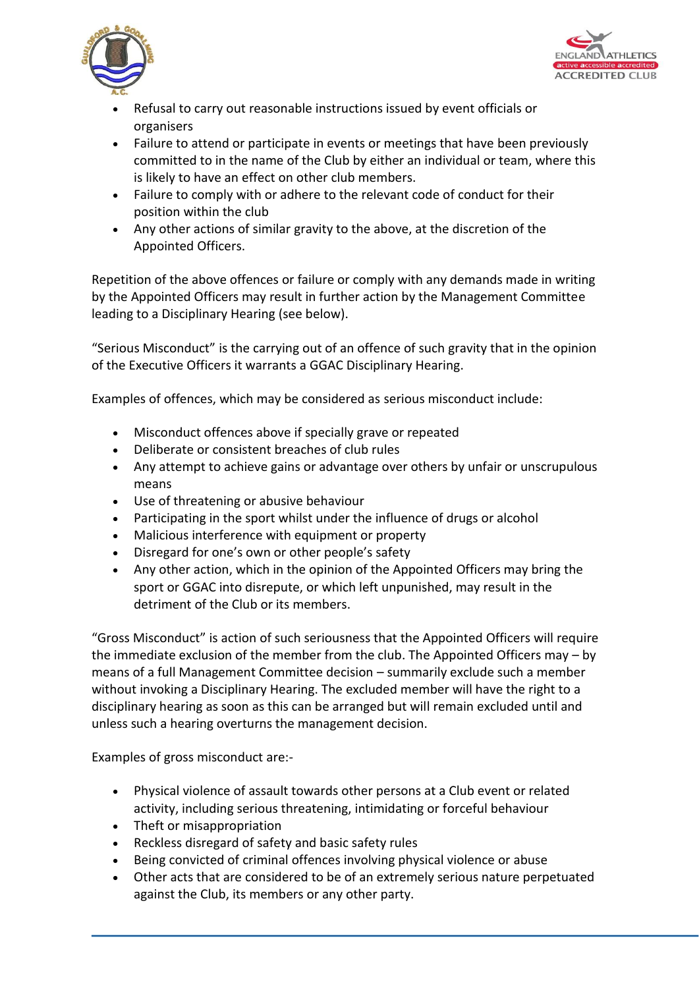



- Refusal to carry out reasonable instructions issued by event officials or organisers
- Failure to attend or participate in events or meetings that have been previously committed to in the name of the Club by either an individual or team, where this is likely to have an effect on other club members.
- Failure to comply with or adhere to the relevant code of conduct for their position within the club
- Any other actions of similar gravity to the above, at the discretion of the Appointed Officers.

Repetition of the above offences or failure or comply with any demands made in writing by the Appointed Officers may result in further action by the Management Committee leading to a Disciplinary Hearing (see below).

"Serious Misconduct" is the carrying out of an offence of such gravity that in the opinion of the Executive Officers it warrants a GGAC Disciplinary Hearing.

Examples of offences, which may be considered as serious misconduct include:

- Misconduct offences above if specially grave or repeated
- Deliberate or consistent breaches of club rules
- Any attempt to achieve gains or advantage over others by unfair or unscrupulous means
- Use of threatening or abusive behaviour
- Participating in the sport whilst under the influence of drugs or alcohol
- Malicious interference with equipment or property
- Disregard for one's own or other people's safety
- Any other action, which in the opinion of the Appointed Officers may bring the sport or GGAC into disrepute, or which left unpunished, may result in the detriment of the Club or its members.

"Gross Misconduct" is action of such seriousness that the Appointed Officers will require the immediate exclusion of the member from the club. The Appointed Officers may – by means of a full Management Committee decision – summarily exclude such a member without invoking a Disciplinary Hearing. The excluded member will have the right to a disciplinary hearing as soon as this can be arranged but will remain excluded until and unless such a hearing overturns the management decision.

Examples of gross misconduct are:-

- Physical violence of assault towards other persons at a Club event or related activity, including serious threatening, intimidating or forceful behaviour
- Theft or misappropriation
- Reckless disregard of safety and basic safety rules
- Being convicted of criminal offences involving physical violence or abuse
- Other acts that are considered to be of an extremely serious nature perpetuated against the Club, its members or any other party.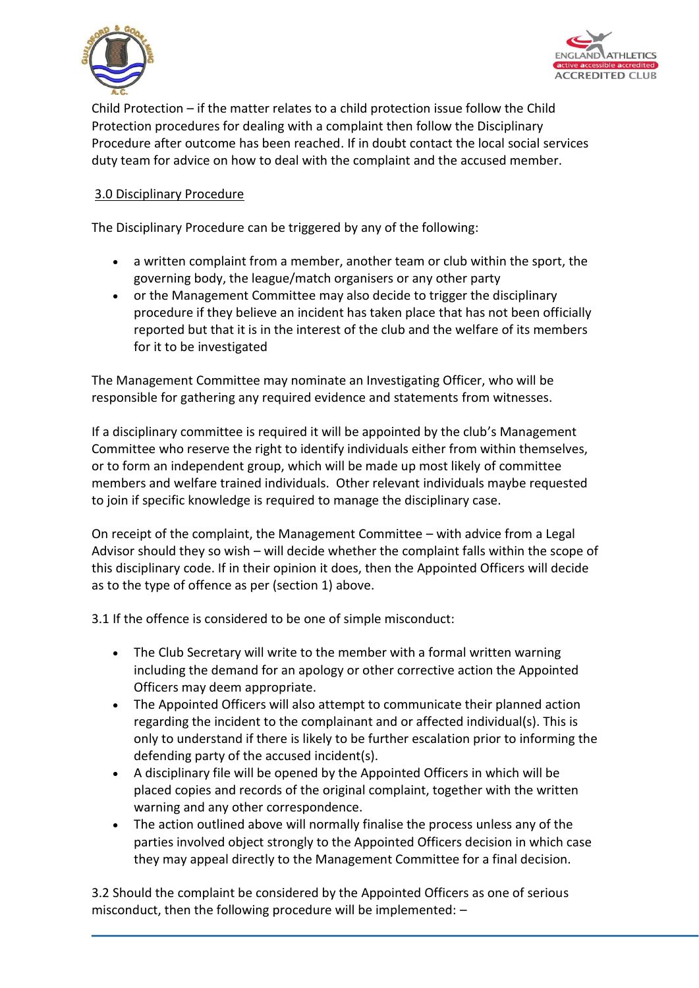



Child Protection – if the matter relates to a child protection issue follow the Child Protection procedures for dealing with a complaint then follow the Disciplinary Procedure after outcome has been reached. If in doubt contact the local social services duty team for advice on how to deal with the complaint and the accused member.

# 3.0 Disciplinary Procedure

The Disciplinary Procedure can be triggered by any of the following:

- a written complaint from a member, another team or club within the sport, the governing body, the league/match organisers or any other party
- or the Management Committee may also decide to trigger the disciplinary procedure if they believe an incident has taken place that has not been officially reported but that it is in the interest of the club and the welfare of its members for it to be investigated

The Management Committee may nominate an Investigating Officer, who will be responsible for gathering any required evidence and statements from witnesses.

If a disciplinary committee is required it will be appointed by the club's Management Committee who reserve the right to identify individuals either from within themselves, or to form an independent group, which will be made up most likely of committee members and welfare trained individuals. Other relevant individuals maybe requested to join if specific knowledge is required to manage the disciplinary case.

On receipt of the complaint, the Management Committee – with advice from a Legal Advisor should they so wish – will decide whether the complaint falls within the scope of this disciplinary code. If in their opinion it does, then the Appointed Officers will decide as to the type of offence as per (section 1) above.

3.1 If the offence is considered to be one of simple misconduct:

- The Club Secretary will write to the member with a formal written warning including the demand for an apology or other corrective action the Appointed Officers may deem appropriate.
- The Appointed Officers will also attempt to communicate their planned action regarding the incident to the complainant and or affected individual(s). This is only to understand if there is likely to be further escalation prior to informing the defending party of the accused incident(s).
- A disciplinary file will be opened by the Appointed Officers in which will be placed copies and records of the original complaint, together with the written warning and any other correspondence.
- The action outlined above will normally finalise the process unless any of the parties involved object strongly to the Appointed Officers decision in which case they may appeal directly to the Management Committee for a final decision.

3.2 Should the complaint be considered by the Appointed Officers as one of serious misconduct, then the following procedure will be implemented: –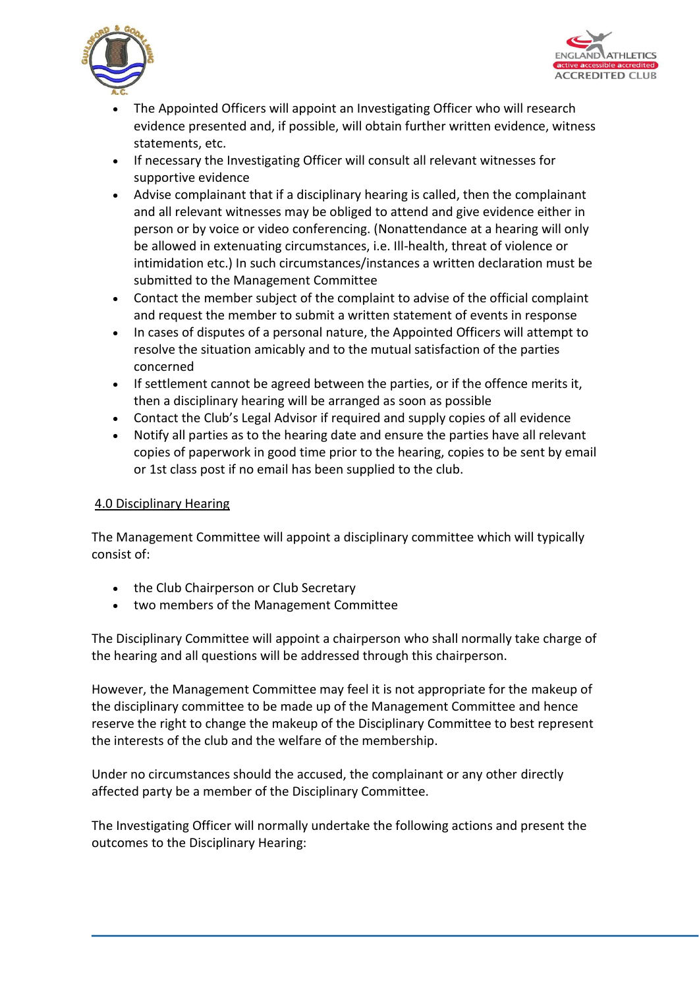



- The Appointed Officers will appoint an Investigating Officer who will research evidence presented and, if possible, will obtain further written evidence, witness statements, etc.
- If necessary the Investigating Officer will consult all relevant witnesses for supportive evidence
- Advise complainant that if a disciplinary hearing is called, then the complainant and all relevant witnesses may be obliged to attend and give evidence either in person or by voice or video conferencing. (Nonattendance at a hearing will only be allowed in extenuating circumstances, i.e. Ill-health, threat of violence or intimidation etc.) In such circumstances/instances a written declaration must be submitted to the Management Committee
- Contact the member subject of the complaint to advise of the official complaint and request the member to submit a written statement of events in response
- In cases of disputes of a personal nature, the Appointed Officers will attempt to resolve the situation amicably and to the mutual satisfaction of the parties concerned
- If settlement cannot be agreed between the parties, or if the offence merits it, then a disciplinary hearing will be arranged as soon as possible
- Contact the Club's Legal Advisor if required and supply copies of all evidence
- Notify all parties as to the hearing date and ensure the parties have all relevant copies of paperwork in good time prior to the hearing, copies to be sent by email or 1st class post if no email has been supplied to the club.

## 4.0 Disciplinary Hearing

The Management Committee will appoint a disciplinary committee which will typically consist of:

- the Club Chairperson or Club Secretary
- two members of the Management Committee

The Disciplinary Committee will appoint a chairperson who shall normally take charge of the hearing and all questions will be addressed through this chairperson.

However, the Management Committee may feel it is not appropriate for the makeup of the disciplinary committee to be made up of the Management Committee and hence reserve the right to change the makeup of the Disciplinary Committee to best represent the interests of the club and the welfare of the membership.

Under no circumstances should the accused, the complainant or any other directly affected party be a member of the Disciplinary Committee.

The Investigating Officer will normally undertake the following actions and present the outcomes to the Disciplinary Hearing: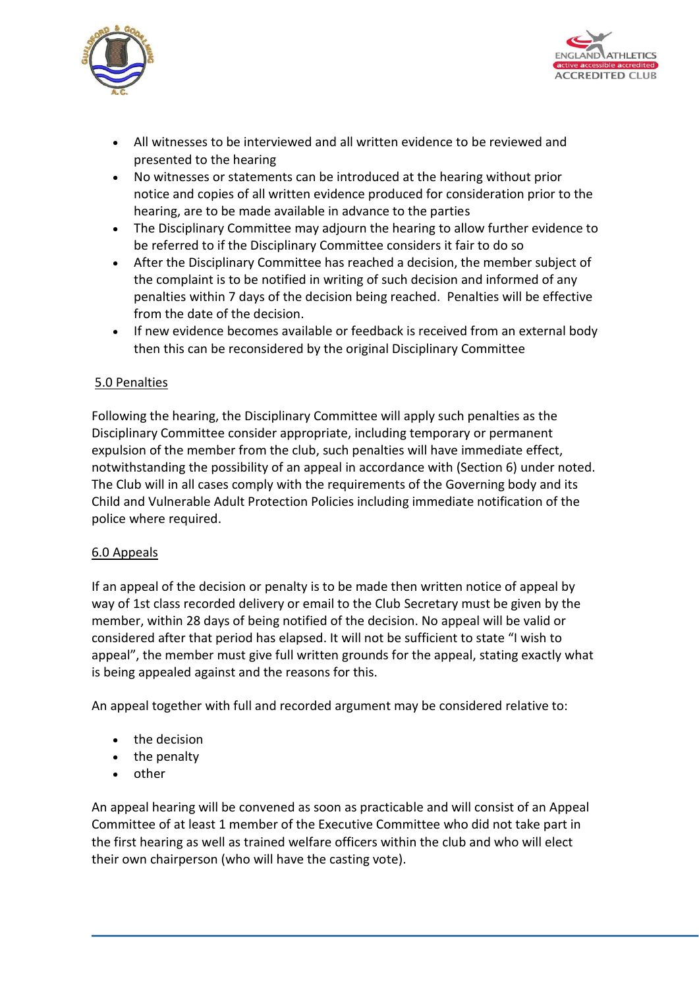



- All witnesses to be interviewed and all written evidence to be reviewed and presented to the hearing
- No witnesses or statements can be introduced at the hearing without prior notice and copies of all written evidence produced for consideration prior to the hearing, are to be made available in advance to the parties
- The Disciplinary Committee may adjourn the hearing to allow further evidence to be referred to if the Disciplinary Committee considers it fair to do so
- After the Disciplinary Committee has reached a decision, the member subject of the complaint is to be notified in writing of such decision and informed of any penalties within 7 days of the decision being reached. Penalties will be effective from the date of the decision.
- If new evidence becomes available or feedback is received from an external body then this can be reconsidered by the original Disciplinary Committee

# 5.0 Penalties

Following the hearing, the Disciplinary Committee will apply such penalties as the Disciplinary Committee consider appropriate, including temporary or permanent expulsion of the member from the club, such penalties will have immediate effect, notwithstanding the possibility of an appeal in accordance with (Section 6) under noted. The Club will in all cases comply with the requirements of the Governing body and its Child and Vulnerable Adult Protection Policies including immediate notification of the police where required.

## 6.0 Appeals

If an appeal of the decision or penalty is to be made then written notice of appeal by way of 1st class recorded delivery or email to the Club Secretary must be given by the member, within 28 days of being notified of the decision. No appeal will be valid or considered after that period has elapsed. It will not be sufficient to state "I wish to appeal", the member must give full written grounds for the appeal, stating exactly what is being appealed against and the reasons for this.

An appeal together with full and recorded argument may be considered relative to:

- the decision
- the penalty
- other

An appeal hearing will be convened as soon as practicable and will consist of an Appeal Committee of at least 1 member of the Executive Committee who did not take part in the first hearing as well as trained welfare officers within the club and who will elect their own chairperson (who will have the casting vote).